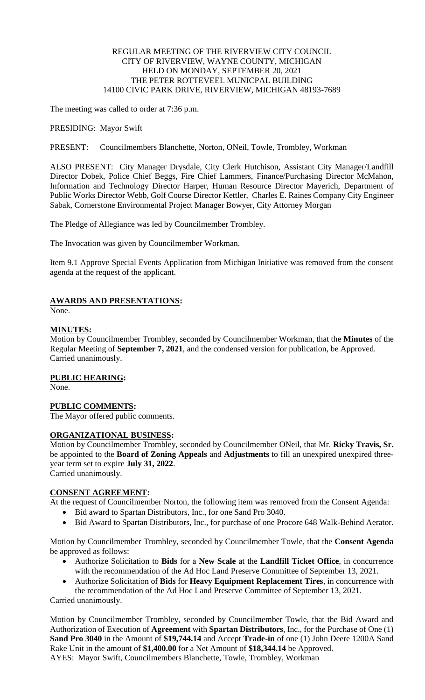## REGULAR MEETING OF THE RIVERVIEW CITY COUNCIL CITY OF RIVERVIEW, WAYNE COUNTY, MICHIGAN HELD ON MONDAY, SEPTEMBER 20, 2021 THE PETER ROTTEVEEL MUNICPAL BUILDING 14100 CIVIC PARK DRIVE, RIVERVIEW, MICHIGAN 48193-7689

The meeting was called to order at 7:36 p.m.

PRESIDING: Mayor Swift

PRESENT: Councilmembers Blanchette, Norton, ONeil, Towle, Trombley, Workman

ALSO PRESENT: City Manager Drysdale, City Clerk Hutchison, Assistant City Manager/Landfill Director Dobek, Police Chief Beggs, Fire Chief Lammers, Finance/Purchasing Director McMahon, Information and Technology Director Harper, Human Resource Director Mayerich, Department of Public Works Director Webb, Golf Course Director Kettler, Charles E. Raines Company City Engineer Sabak, Cornerstone Environmental Project Manager Bowyer, City Attorney Morgan

The Pledge of Allegiance was led by Councilmember Trombley.

The Invocation was given by Councilmember Workman.

Item 9.1 Approve Special Events Application from Michigan Initiative was removed from the consent agenda at the request of the applicant.

## **AWARDS AND PRESENTATIONS:**

None.

## **MINUTES:**

Motion by Councilmember Trombley, seconded by Councilmember Workman, that the **Minutes** of the Regular Meeting of **September 7, 2021**, and the condensed version for publication, be Approved. Carried unanimously.

#### **PUBLIC HEARING:**

None.

### **PUBLIC COMMENTS:**

The Mayor offered public comments.

### **ORGANIZATIONAL BUSINESS:**

Motion by Councilmember Trombley, seconded by Councilmember ONeil, that Mr. **Ricky Travis, Sr.** be appointed to the **Board of Zoning Appeals** and **Adjustments** to fill an unexpired unexpired threeyear term set to expire **July 31, 2022**. Carried unanimously.

# **CONSENT AGREEMENT:**

At the request of Councilmember Norton, the following item was removed from the Consent Agenda:

- Bid award to Spartan Distributors, Inc., for one Sand Pro 3040.
- Bid Award to Spartan Distributors, Inc., for purchase of one Procore 648 Walk-Behind Aerator.

Motion by Councilmember Trombley, seconded by Councilmember Towle, that the **Consent Agenda** be approved as follows:

- Authorize Solicitation to **Bids** for a **New Scale** at the **Landfill Ticket Office**, in concurrence with the recommendation of the Ad Hoc Land Preserve Committee of September 13, 2021.
- Authorize Solicitation of **Bids** for **Heavy Equipment Replacement Tires**, in concurrence with the recommendation of the Ad Hoc Land Preserve Committee of September 13, 2021.

Carried unanimously.

Motion by Councilmember Trombley, seconded by Councilmember Towle, that the Bid Award and Authorization of Execution of **Agreement** with **Spartan Distributors**, Inc., for the Purchase of One (1) **Sand Pro 3040** in the Amount of **\$19,744.14** and Accept **Trade-in** of one (1) John Deere 1200A Sand Rake Unit in the amount of **\$1,400.00** for a Net Amount of **\$18,344.14** be Approved. AYES: Mayor Swift, Councilmembers Blanchette, Towle, Trombley, Workman